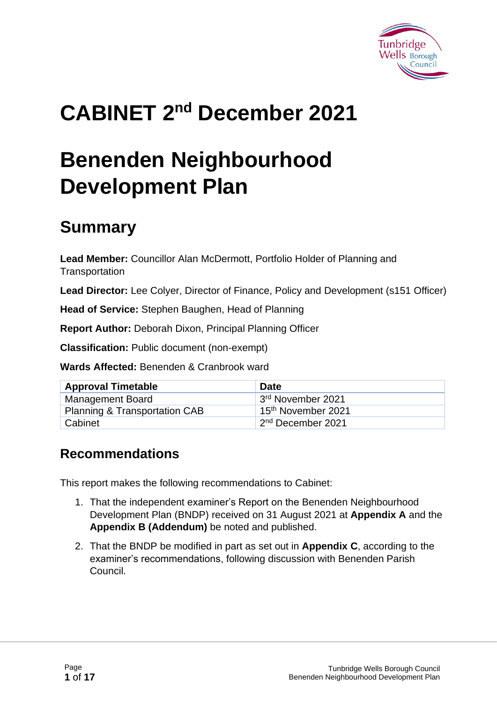

# **CABINET 2 nd December 2021**

# **Benenden Neighbourhood Development Plan**

## **Summary**

**Lead Member:** Councillor Alan McDermott, Portfolio Holder of Planning and **Transportation** 

**Lead Director:** Lee Colyer, Director of Finance, Policy and Development (s151 Officer)

**Head of Service:** Stephen Baughen, Head of Planning

**Report Author:** Deborah Dixon, Principal Planning Officer

**Classification:** Public document (non-exempt)

**Wards Affected:** Benenden & Cranbrook ward

| <b>Approval Timetable</b>                | <b>Date</b>                    |
|------------------------------------------|--------------------------------|
| <b>Management Board</b>                  | 3rd November 2021              |
| <b>Planning &amp; Transportation CAB</b> | 15 <sup>th</sup> November 2021 |
| Cabinet                                  | 2 <sup>nd</sup> December 2021  |

#### **Recommendations**

This report makes the following recommendations to Cabinet:

- 1. That the independent examiner's Report on the Benenden Neighbourhood Development Plan (BNDP) received on 31 August 2021 at **Appendix A** and the **Appendix B (Addendum)** be noted and published.
- 2. That the BNDP be modified in part as set out in **Appendix C**, according to the examiner's recommendations, following discussion with Benenden Parish Council.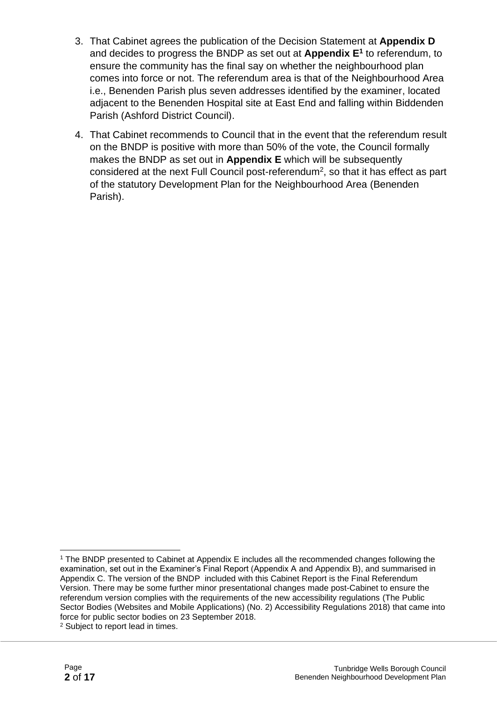- 3. That Cabinet agrees the publication of the Decision Statement at **Appendix D** and decides to progress the BNDP as set out at **Appendix E<sup>1</sup>** to referendum, to ensure the community has the final say on whether the neighbourhood plan comes into force or not. The referendum area is that of the Neighbourhood Area i.e., Benenden Parish plus seven addresses identified by the examiner, located adjacent to the Benenden Hospital site at East End and falling within Biddenden Parish (Ashford District Council).
- 4. That Cabinet recommends to Council that in the event that the referendum result on the BNDP is positive with more than 50% of the vote, the Council formally makes the BNDP as set out in **Appendix E** which will be subsequently considered at the next Full Council post-referendum<sup>2</sup>, so that it has effect as part of the statutory Development Plan for the Neighbourhood Area (Benenden Parish).

<sup>1</sup> The BNDP presented to Cabinet at Appendix E includes all the recommended changes following the examination, set out in the Examiner's Final Report (Appendix A and Appendix B), and summarised in Appendix C. The version of the BNDP included with this Cabinet Report is the Final Referendum Version. There may be some further minor presentational changes made post-Cabinet to ensure the referendum version complies with the requirements of the new accessibility regulations (The Public Sector Bodies (Websites and Mobile Applications) (No. 2) Accessibility Regulations 2018) that came into force for public sector bodies on 23 September 2018. <sup>2</sup> Subject to report lead in times.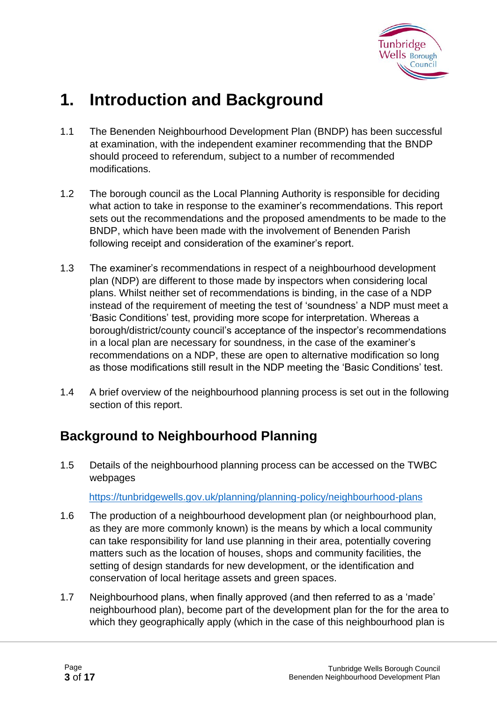

### **1. Introduction and Background**

- 1.1 The Benenden Neighbourhood Development Plan (BNDP) has been successful at examination, with the independent examiner recommending that the BNDP should proceed to referendum, subject to a number of recommended modifications.
- 1.2 The borough council as the Local Planning Authority is responsible for deciding what action to take in response to the examiner's recommendations. This report sets out the recommendations and the proposed amendments to be made to the BNDP, which have been made with the involvement of Benenden Parish following receipt and consideration of the examiner's report.
- 1.3 The examiner's recommendations in respect of a neighbourhood development plan (NDP) are different to those made by inspectors when considering local plans. Whilst neither set of recommendations is binding, in the case of a NDP instead of the requirement of meeting the test of 'soundness' a NDP must meet a 'Basic Conditions' test, providing more scope for interpretation. Whereas a borough/district/county council's acceptance of the inspector's recommendations in a local plan are necessary for soundness, in the case of the examiner's recommendations on a NDP, these are open to alternative modification so long as those modifications still result in the NDP meeting the 'Basic Conditions' test.
- 1.4 A brief overview of the neighbourhood planning process is set out in the following section of this report.

### **Background to Neighbourhood Planning**

1.5 Details of the neighbourhood planning process can be accessed on the TWBC webpages

<https://tunbridgewells.gov.uk/planning/planning-policy/neighbourhood-plans>

- 1.6 The production of a neighbourhood development plan (or neighbourhood plan, as they are more commonly known) is the means by which a local community can take responsibility for land use planning in their area, potentially covering matters such as the location of houses, shops and community facilities, the setting of design standards for new development, or the identification and conservation of local heritage assets and green spaces.
- 1.7 Neighbourhood plans, when finally approved (and then referred to as a 'made' neighbourhood plan), become part of the development plan for the for the area to which they geographically apply (which in the case of this neighbourhood plan is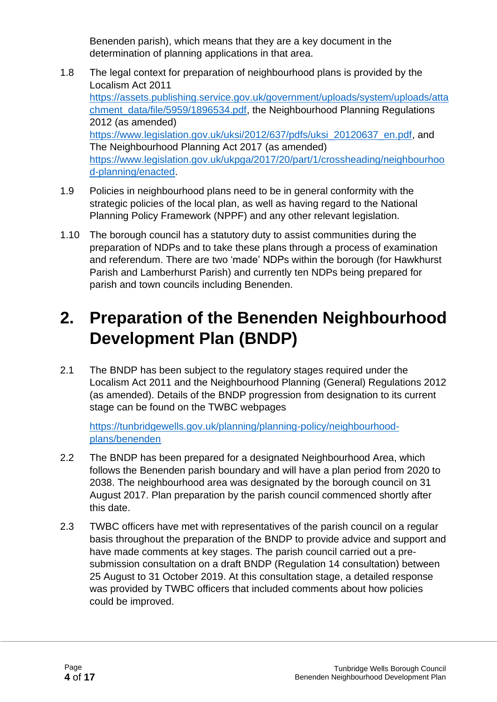Benenden parish), which means that they are a key document in the determination of planning applications in that area.

- 1.8 The legal context for preparation of neighbourhood plans is provided by the Localism Act 2011 [https://assets.publishing.service.gov.uk/government/uploads/system/uploads/atta](https://assets.publishing.service.gov.uk/government/uploads/system/uploads/attachment_data/file/5959/1896534.pdf) [chment\\_data/file/5959/1896534.pdf,](https://assets.publishing.service.gov.uk/government/uploads/system/uploads/attachment_data/file/5959/1896534.pdf) the Neighbourhood Planning Regulations 2012 (as amended) [https://www.legislation.gov.uk/uksi/2012/637/pdfs/uksi\\_20120637\\_en.pdf,](https://www.legislation.gov.uk/uksi/2012/637/pdfs/uksi_20120637_en.pdf) and The Neighbourhood Planning Act 2017 (as amended) [https://www.legislation.gov.uk/ukpga/2017/20/part/1/crossheading/neighbourhoo](https://www.legislation.gov.uk/ukpga/2017/20/part/1/crossheading/neighbourhood-planning/enacted) [d-planning/enacted.](https://www.legislation.gov.uk/ukpga/2017/20/part/1/crossheading/neighbourhood-planning/enacted)
- 1.9 Policies in neighbourhood plans need to be in general conformity with the strategic policies of the local plan, as well as having regard to the National Planning Policy Framework (NPPF) and any other relevant legislation.
- 1.10 The borough council has a statutory duty to assist communities during the preparation of NDPs and to take these plans through a process of examination and referendum. There are two 'made' NDPs within the borough (for Hawkhurst Parish and Lamberhurst Parish) and currently ten NDPs being prepared for parish and town councils including Benenden.

### **2. Preparation of the Benenden Neighbourhood Development Plan (BNDP)**

2.1 The BNDP has been subject to the regulatory stages required under the Localism Act 2011 and the Neighbourhood Planning (General) Regulations 2012 (as amended). Details of the BNDP progression from designation to its current stage can be found on the TWBC webpages

[https://tunbridgewells.gov.uk/planning/planning-policy/neighbourhood](https://tunbridgewells.gov.uk/planning/planning-policy/neighbourhood-plans/benenden)[plans/benenden](https://tunbridgewells.gov.uk/planning/planning-policy/neighbourhood-plans/benenden)

- 2.2 The BNDP has been prepared for a designated Neighbourhood Area, which follows the Benenden parish boundary and will have a plan period from 2020 to 2038. The neighbourhood area was designated by the borough council on 31 August 2017. Plan preparation by the parish council commenced shortly after this date.
- 2.3 TWBC officers have met with representatives of the parish council on a regular basis throughout the preparation of the BNDP to provide advice and support and have made comments at key stages. The parish council carried out a presubmission consultation on a draft BNDP (Regulation 14 consultation) between 25 August to 31 October 2019. At this consultation stage, a detailed response was provided by TWBC officers that included comments about how policies could be improved.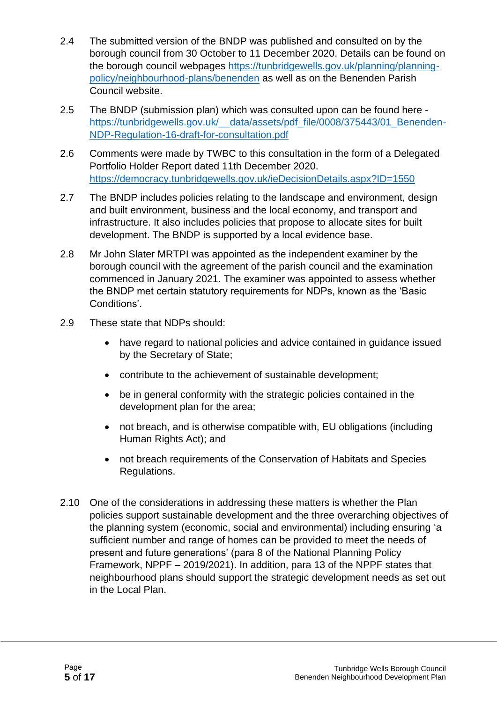- 2.4 The submitted version of the BNDP was published and consulted on by the borough council from 30 October to 11 December 2020. Details can be found on the borough council webpages [https://tunbridgewells.gov.uk/planning/planning](https://tunbridgewells.gov.uk/planning/planning-policy/neighbourhood-plans/benenden)[policy/neighbourhood-plans/benenden](https://tunbridgewells.gov.uk/planning/planning-policy/neighbourhood-plans/benenden) as well as on the Benenden Parish Council website.
- 2.5 The BNDP (submission plan) which was consulted upon can be found here https://tunbridgewells.gov.uk/\_data/assets/pdf\_file/0008/375443/01\_Benenden-[NDP-Regulation-16-draft-for-consultation.pdf](https://tunbridgewells.gov.uk/__data/assets/pdf_file/0008/375443/01_Benenden-NDP-Regulation-16-draft-for-consultation.pdf)
- 2.6 Comments were made by TWBC to this consultation in the form of a Delegated Portfolio Holder Report dated 11th December 2020. <https://democracy.tunbridgewells.gov.uk/ieDecisionDetails.aspx?ID=1550>
- 2.7 The BNDP includes policies relating to the landscape and environment, design and built environment, business and the local economy, and transport and infrastructure. It also includes policies that propose to allocate sites for built development. The BNDP is supported by a local evidence base.
- 2.8 Mr John Slater MRTPI was appointed as the independent examiner by the borough council with the agreement of the parish council and the examination commenced in January 2021. The examiner was appointed to assess whether the BNDP met certain statutory requirements for NDPs, known as the 'Basic Conditions'.
- 2.9 These state that NDPs should:
	- have regard to national policies and advice contained in guidance issued by the Secretary of State;
	- contribute to the achievement of sustainable development;
	- be in general conformity with the strategic policies contained in the development plan for the area;
	- not breach, and is otherwise compatible with, EU obligations (including Human Rights Act); and
	- not breach requirements of the Conservation of Habitats and Species Regulations.
- 2.10 One of the considerations in addressing these matters is whether the Plan policies support sustainable development and the three overarching objectives of the planning system (economic, social and environmental) including ensuring 'a sufficient number and range of homes can be provided to meet the needs of present and future generations' (para 8 of the National Planning Policy Framework, NPPF – 2019/2021). In addition, para 13 of the NPPF states that neighbourhood plans should support the strategic development needs as set out in the Local Plan.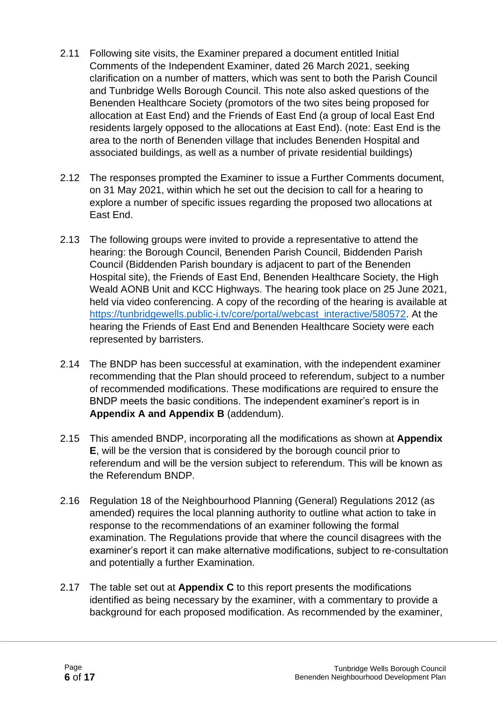- 2.11 Following site visits, the Examiner prepared a document entitled Initial Comments of the Independent Examiner, dated 26 March 2021, seeking clarification on a number of matters, which was sent to both the Parish Council and Tunbridge Wells Borough Council. This note also asked questions of the Benenden Healthcare Society (promotors of the two sites being proposed for allocation at East End) and the Friends of East End (a group of local East End residents largely opposed to the allocations at East End). (note: East End is the area to the north of Benenden village that includes Benenden Hospital and associated buildings, as well as a number of private residential buildings)
- 2.12 The responses prompted the Examiner to issue a Further Comments document, on 31 May 2021, within which he set out the decision to call for a hearing to explore a number of specific issues regarding the proposed two allocations at East End.
- 2.13 The following groups were invited to provide a representative to attend the hearing: the Borough Council, Benenden Parish Council, Biddenden Parish Council (Biddenden Parish boundary is adjacent to part of the Benenden Hospital site), the Friends of East End, Benenden Healthcare Society, the High Weald AONB Unit and KCC Highways. The hearing took place on 25 June 2021, held via video conferencing. A copy of the recording of the hearing is available at [https://tunbridgewells.public-i.tv/core/portal/webcast\\_interactive/580572.](https://tunbridgewells.public-i.tv/core/portal/webcast_interactive/580572) At the hearing the Friends of East End and Benenden Healthcare Society were each represented by barristers.
- 2.14 The BNDP has been successful at examination, with the independent examiner recommending that the Plan should proceed to referendum, subject to a number of recommended modifications. These modifications are required to ensure the BNDP meets the basic conditions. The independent examiner's report is in **Appendix A and Appendix B** (addendum).
- 2.15 This amended BNDP, incorporating all the modifications as shown at **Appendix E**, will be the version that is considered by the borough council prior to referendum and will be the version subject to referendum. This will be known as the Referendum BNDP.
- 2.16 Regulation 18 of the Neighbourhood Planning (General) Regulations 2012 (as amended) requires the local planning authority to outline what action to take in response to the recommendations of an examiner following the formal examination. The Regulations provide that where the council disagrees with the examiner's report it can make alternative modifications, subject to re-consultation and potentially a further Examination.
- 2.17 The table set out at **Appendix C** to this report presents the modifications identified as being necessary by the examiner, with a commentary to provide a background for each proposed modification. As recommended by the examiner,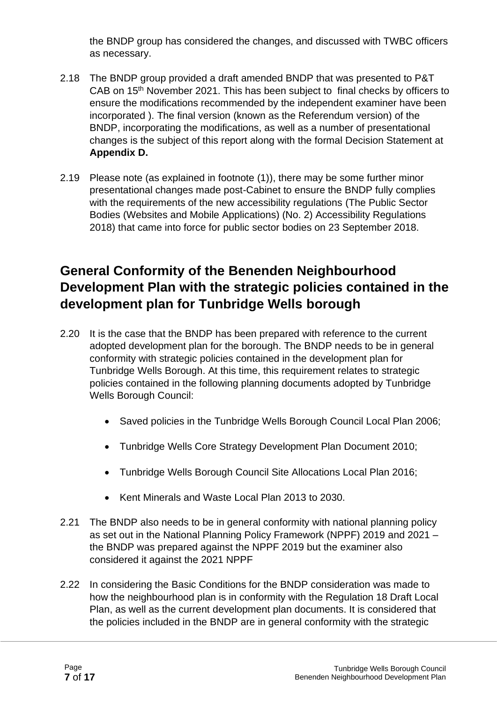the BNDP group has considered the changes, and discussed with TWBC officers as necessary.

- 2.18 The BNDP group provided a draft amended BNDP that was presented to P&T CAB on 15<sup>th</sup> November 2021. This has been subject to final checks by officers to ensure the modifications recommended by the independent examiner have been incorporated ). The final version (known as the Referendum version) of the BNDP, incorporating the modifications, as well as a number of presentational changes is the subject of this report along with the formal Decision Statement at **Appendix D.**
- 2.19 Please note (as explained in footnote (1)), there may be some further minor presentational changes made post-Cabinet to ensure the BNDP fully complies with the requirements of the new accessibility regulations (The Public Sector Bodies (Websites and Mobile Applications) (No. 2) Accessibility Regulations 2018) that came into force for public sector bodies on 23 September 2018.

### **General Conformity of the Benenden Neighbourhood Development Plan with the strategic policies contained in the development plan for Tunbridge Wells borough**

- 2.20 It is the case that the BNDP has been prepared with reference to the current adopted development plan for the borough. The BNDP needs to be in general conformity with strategic policies contained in the development plan for Tunbridge Wells Borough. At this time, this requirement relates to strategic policies contained in the following planning documents adopted by Tunbridge Wells Borough Council:
	- Saved policies in the Tunbridge Wells Borough Council Local Plan 2006;
	- Tunbridge Wells Core Strategy Development Plan Document 2010;
	- Tunbridge Wells Borough Council Site Allocations Local Plan 2016;
	- Kent Minerals and Waste Local Plan 2013 to 2030.
- 2.21 The BNDP also needs to be in general conformity with national planning policy as set out in the National Planning Policy Framework (NPPF) 2019 and 2021 – the BNDP was prepared against the NPPF 2019 but the examiner also considered it against the 2021 NPPF
- 2.22 In considering the Basic Conditions for the BNDP consideration was made to how the neighbourhood plan is in conformity with the Regulation 18 Draft Local Plan, as well as the current development plan documents. It is considered that the policies included in the BNDP are in general conformity with the strategic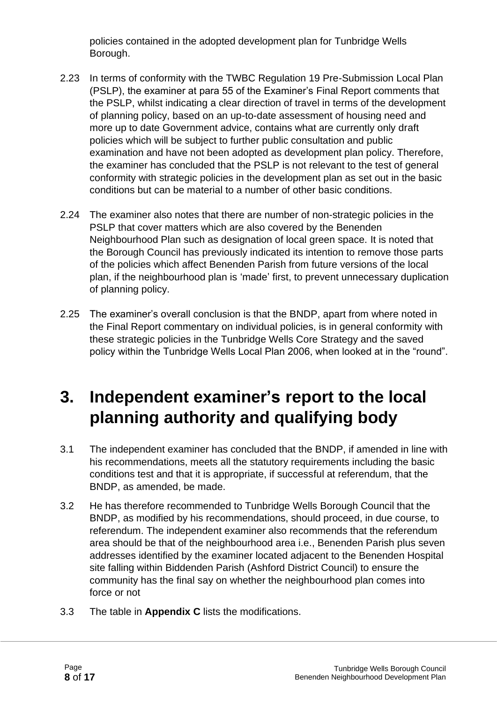policies contained in the adopted development plan for Tunbridge Wells Borough.

- 2.23 In terms of conformity with the TWBC Regulation 19 Pre-Submission Local Plan (PSLP), the examiner at para 55 of the Examiner's Final Report comments that the PSLP, whilst indicating a clear direction of travel in terms of the development of planning policy, based on an up-to-date assessment of housing need and more up to date Government advice, contains what are currently only draft policies which will be subject to further public consultation and public examination and have not been adopted as development plan policy. Therefore, the examiner has concluded that the PSLP is not relevant to the test of general conformity with strategic policies in the development plan as set out in the basic conditions but can be material to a number of other basic conditions.
- 2.24 The examiner also notes that there are number of non-strategic policies in the PSLP that cover matters which are also covered by the Benenden Neighbourhood Plan such as designation of local green space. It is noted that the Borough Council has previously indicated its intention to remove those parts of the policies which affect Benenden Parish from future versions of the local plan, if the neighbourhood plan is 'made' first, to prevent unnecessary duplication of planning policy.
- 2.25 The examiner's overall conclusion is that the BNDP, apart from where noted in the Final Report commentary on individual policies, is in general conformity with these strategic policies in the Tunbridge Wells Core Strategy and the saved policy within the Tunbridge Wells Local Plan 2006, when looked at in the "round".

### **3. Independent examiner's report to the local planning authority and qualifying body**

- 3.1 The independent examiner has concluded that the BNDP, if amended in line with his recommendations, meets all the statutory requirements including the basic conditions test and that it is appropriate, if successful at referendum, that the BNDP, as amended, be made.
- 3.2 He has therefore recommended to Tunbridge Wells Borough Council that the BNDP, as modified by his recommendations, should proceed, in due course, to referendum. The independent examiner also recommends that the referendum area should be that of the neighbourhood area i.e., Benenden Parish plus seven addresses identified by the examiner located adjacent to the Benenden Hospital site falling within Biddenden Parish (Ashford District Council) to ensure the community has the final say on whether the neighbourhood plan comes into force or not
- 3.3 The table in **Appendix C** lists the modifications.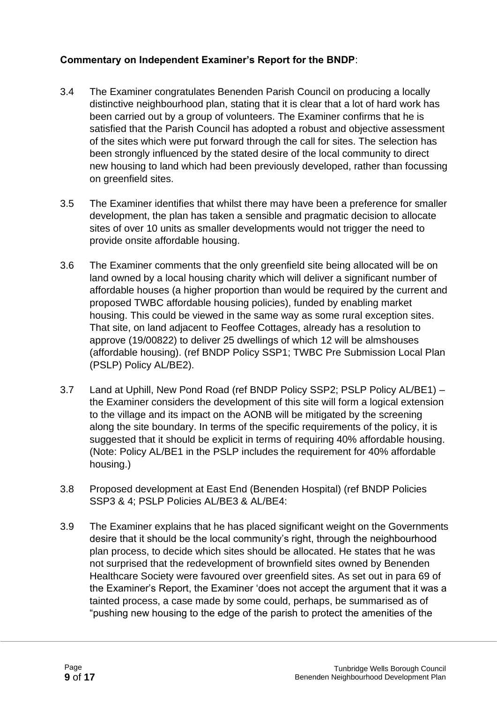#### **Commentary on Independent Examiner's Report for the BNDP**:

- 3.4 The Examiner congratulates Benenden Parish Council on producing a locally distinctive neighbourhood plan, stating that it is clear that a lot of hard work has been carried out by a group of volunteers. The Examiner confirms that he is satisfied that the Parish Council has adopted a robust and objective assessment of the sites which were put forward through the call for sites. The selection has been strongly influenced by the stated desire of the local community to direct new housing to land which had been previously developed, rather than focussing on greenfield sites.
- 3.5 The Examiner identifies that whilst there may have been a preference for smaller development, the plan has taken a sensible and pragmatic decision to allocate sites of over 10 units as smaller developments would not trigger the need to provide onsite affordable housing.
- 3.6 The Examiner comments that the only greenfield site being allocated will be on land owned by a local housing charity which will deliver a significant number of affordable houses (a higher proportion than would be required by the current and proposed TWBC affordable housing policies), funded by enabling market housing. This could be viewed in the same way as some rural exception sites. That site, on land adjacent to Feoffee Cottages, already has a resolution to approve (19/00822) to deliver 25 dwellings of which 12 will be almshouses (affordable housing). (ref BNDP Policy SSP1; TWBC Pre Submission Local Plan (PSLP) Policy AL/BE2).
- 3.7 Land at Uphill, New Pond Road (ref BNDP Policy SSP2; PSLP Policy AL/BE1) the Examiner considers the development of this site will form a logical extension to the village and its impact on the AONB will be mitigated by the screening along the site boundary. In terms of the specific requirements of the policy, it is suggested that it should be explicit in terms of requiring 40% affordable housing. (Note: Policy AL/BE1 in the PSLP includes the requirement for 40% affordable housing.)
- 3.8 Proposed development at East End (Benenden Hospital) (ref BNDP Policies SSP3 & 4; PSLP Policies AL/BE3 & AL/BE4:
- 3.9 The Examiner explains that he has placed significant weight on the Governments desire that it should be the local community's right, through the neighbourhood plan process, to decide which sites should be allocated. He states that he was not surprised that the redevelopment of brownfield sites owned by Benenden Healthcare Society were favoured over greenfield sites. As set out in para 69 of the Examiner's Report, the Examiner 'does not accept the argument that it was a tainted process, a case made by some could, perhaps, be summarised as of "pushing new housing to the edge of the parish to protect the amenities of the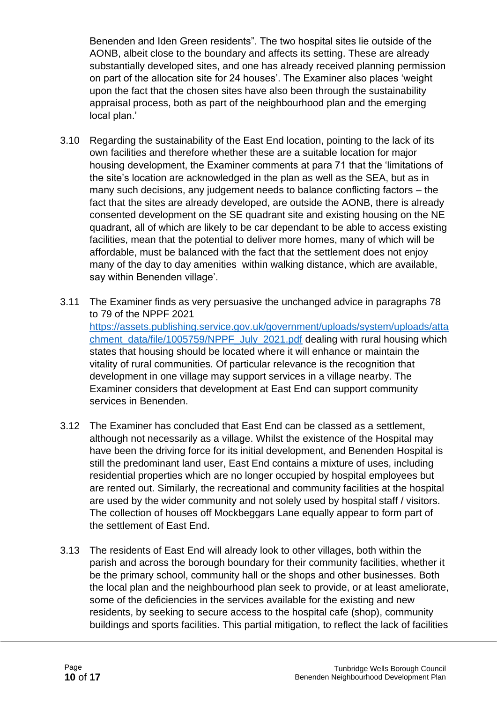Benenden and Iden Green residents". The two hospital sites lie outside of the AONB, albeit close to the boundary and affects its setting. These are already substantially developed sites, and one has already received planning permission on part of the allocation site for 24 houses'. The Examiner also places 'weight upon the fact that the chosen sites have also been through the sustainability appraisal process, both as part of the neighbourhood plan and the emerging local plan.'

- 3.10 Regarding the sustainability of the East End location, pointing to the lack of its own facilities and therefore whether these are a suitable location for major housing development, the Examiner comments at para 71 that the 'limitations of the site's location are acknowledged in the plan as well as the SEA, but as in many such decisions, any judgement needs to balance conflicting factors – the fact that the sites are already developed, are outside the AONB, there is already consented development on the SE quadrant site and existing housing on the NE quadrant, all of which are likely to be car dependant to be able to access existing facilities, mean that the potential to deliver more homes, many of which will be affordable, must be balanced with the fact that the settlement does not enjoy many of the day to day amenities within walking distance, which are available, say within Benenden village'.
- 3.11 The Examiner finds as very persuasive the unchanged advice in paragraphs 78 to 79 of the NPPF 2021 [https://assets.publishing.service.gov.uk/government/uploads/system/uploads/atta](https://assets.publishing.service.gov.uk/government/uploads/system/uploads/attachment_data/file/1005759/NPPF_July_2021.pdf) [chment\\_data/file/1005759/NPPF\\_July\\_2021.pdf](https://assets.publishing.service.gov.uk/government/uploads/system/uploads/attachment_data/file/1005759/NPPF_July_2021.pdf) dealing with rural housing which states that housing should be located where it will enhance or maintain the vitality of rural communities. Of particular relevance is the recognition that development in one village may support services in a village nearby. The Examiner considers that development at East End can support community services in Benenden.
- 3.12 The Examiner has concluded that East End can be classed as a settlement, although not necessarily as a village. Whilst the existence of the Hospital may have been the driving force for its initial development, and Benenden Hospital is still the predominant land user, East End contains a mixture of uses, including residential properties which are no longer occupied by hospital employees but are rented out. Similarly, the recreational and community facilities at the hospital are used by the wider community and not solely used by hospital staff / visitors. The collection of houses off Mockbeggars Lane equally appear to form part of the settlement of East End.
- 3.13 The residents of East End will already look to other villages, both within the parish and across the borough boundary for their community facilities, whether it be the primary school, community hall or the shops and other businesses. Both the local plan and the neighbourhood plan seek to provide, or at least ameliorate, some of the deficiencies in the services available for the existing and new residents, by seeking to secure access to the hospital cafe (shop), community buildings and sports facilities. This partial mitigation, to reflect the lack of facilities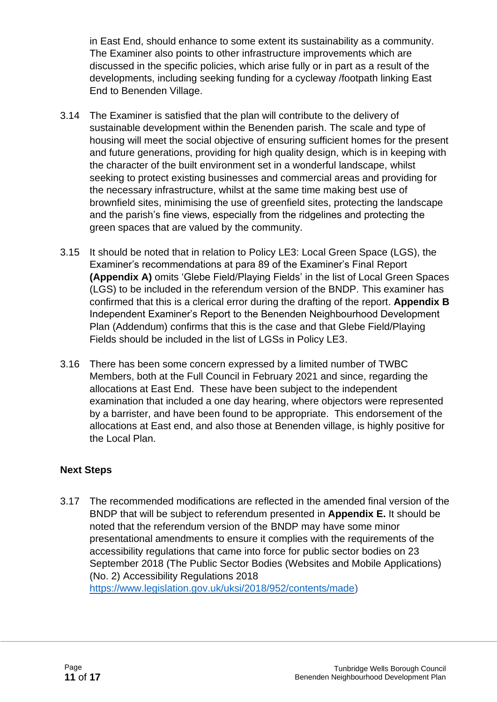in East End, should enhance to some extent its sustainability as a community. The Examiner also points to other infrastructure improvements which are discussed in the specific policies, which arise fully or in part as a result of the developments, including seeking funding for a cycleway /footpath linking East End to Benenden Village.

- 3.14 The Examiner is satisfied that the plan will contribute to the delivery of sustainable development within the Benenden parish. The scale and type of housing will meet the social objective of ensuring sufficient homes for the present and future generations, providing for high quality design, which is in keeping with the character of the built environment set in a wonderful landscape, whilst seeking to protect existing businesses and commercial areas and providing for the necessary infrastructure, whilst at the same time making best use of brownfield sites, minimising the use of greenfield sites, protecting the landscape and the parish's fine views, especially from the ridgelines and protecting the green spaces that are valued by the community.
- 3.15 It should be noted that in relation to Policy LE3: Local Green Space (LGS), the Examiner's recommendations at para 89 of the Examiner's Final Report **(Appendix A)** omits 'Glebe Field/Playing Fields' in the list of Local Green Spaces (LGS) to be included in the referendum version of the BNDP. This examiner has confirmed that this is a clerical error during the drafting of the report. **Appendix B** Independent Examiner's Report to the Benenden Neighbourhood Development Plan (Addendum) confirms that this is the case and that Glebe Field/Playing Fields should be included in the list of LGSs in Policy LE3.
- 3.16 There has been some concern expressed by a limited number of TWBC Members, both at the Full Council in February 2021 and since, regarding the allocations at East End. These have been subject to the independent examination that included a one day hearing, where objectors were represented by a barrister, and have been found to be appropriate. This endorsement of the allocations at East end, and also those at Benenden village, is highly positive for the Local Plan.

#### **Next Steps**

3.17 The recommended modifications are reflected in the amended final version of the BNDP that will be subject to referendum presented in **Appendix E.** It should be noted that the referendum version of the BNDP may have some minor presentational amendments to ensure it complies with the requirements of the accessibility regulations that came into force for public sector bodies on 23 September 2018 (The Public Sector Bodies (Websites and Mobile Applications) (No. 2) Accessibility Regulations 2018 [https://www.legislation.gov.uk/uksi/2018/952/contents/made\)](https://www.legislation.gov.uk/uksi/2018/952/contents/made)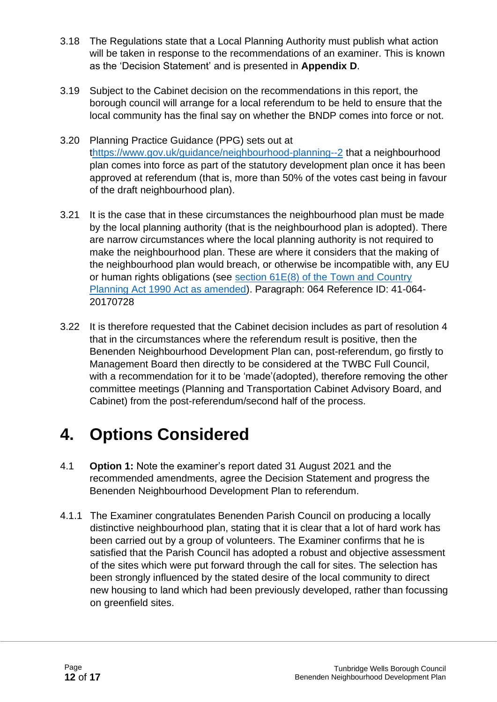- 3.18 The Regulations state that a Local Planning Authority must publish what action will be taken in response to the recommendations of an examiner. This is known as the 'Decision Statement' and is presented in **Appendix D**.
- 3.19 Subject to the Cabinet decision on the recommendations in this report, the borough council will arrange for a local referendum to be held to ensure that the local community has the final say on whether the BNDP comes into force or not.
- 3.20 Planning Practice Guidance (PPG) sets out at [thttps://www.gov.uk/guidance/neighbourhood-planning--2](https://www.gov.uk/guidance/neighbourhood-planning--2) that a neighbourhood plan comes into force as part of the statutory development plan once it has been approved at referendum (that is, more than 50% of the votes cast being in favour of the draft neighbourhood plan).
- 3.21 It is the case that in these circumstances the neighbourhood plan must be made by the local planning authority (that is the neighbourhood plan is adopted). There are narrow circumstances where the local planning authority is not required to make the neighbourhood plan. These are where it considers that the making of the neighbourhood plan would breach, or otherwise be incompatible with, any EU or human rights obligations (see [section 61E\(8\) of the Town and Country](http://www.legislation.gov.uk/ukpga/2011/20/schedule/9/enacted)  [Planning Act 1990 Act as amended\)](http://www.legislation.gov.uk/ukpga/2011/20/schedule/9/enacted). Paragraph: 064 Reference ID: 41-064- 20170728
- 3.22 It is therefore requested that the Cabinet decision includes as part of resolution 4 that in the circumstances where the referendum result is positive, then the Benenden Neighbourhood Development Plan can, post-referendum, go firstly to Management Board then directly to be considered at the TWBC Full Council, with a recommendation for it to be 'made'(adopted), therefore removing the other committee meetings (Planning and Transportation Cabinet Advisory Board, and Cabinet) from the post-referendum/second half of the process.

### **4. Options Considered**

- 4.1 **Option 1:** Note the examiner's report dated 31 August 2021 and the recommended amendments, agree the Decision Statement and progress the Benenden Neighbourhood Development Plan to referendum.
- 4.1.1 The Examiner congratulates Benenden Parish Council on producing a locally distinctive neighbourhood plan, stating that it is clear that a lot of hard work has been carried out by a group of volunteers. The Examiner confirms that he is satisfied that the Parish Council has adopted a robust and objective assessment of the sites which were put forward through the call for sites. The selection has been strongly influenced by the stated desire of the local community to direct new housing to land which had been previously developed, rather than focussing on greenfield sites.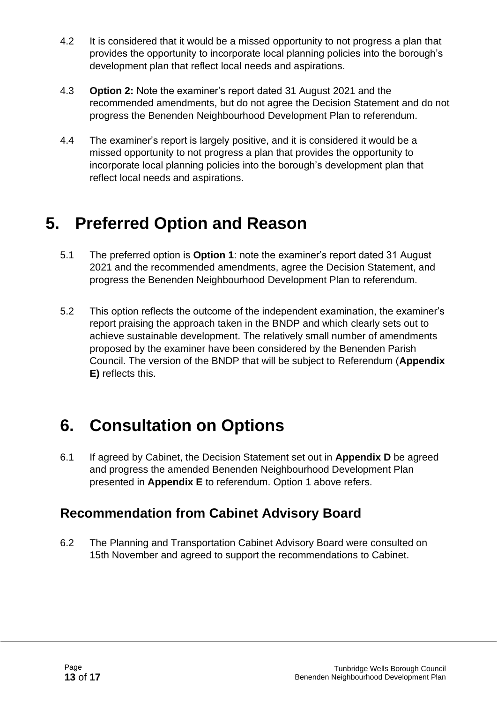- 4.2 It is considered that it would be a missed opportunity to not progress a plan that provides the opportunity to incorporate local planning policies into the borough's development plan that reflect local needs and aspirations.
- 4.3 **Option 2:** Note the examiner's report dated 31 August 2021 and the recommended amendments, but do not agree the Decision Statement and do not progress the Benenden Neighbourhood Development Plan to referendum.
- 4.4 The examiner's report is largely positive, and it is considered it would be a missed opportunity to not progress a plan that provides the opportunity to incorporate local planning policies into the borough's development plan that reflect local needs and aspirations.

### **5. Preferred Option and Reason**

- 5.1 The preferred option is **Option 1**: note the examiner's report dated 31 August 2021 and the recommended amendments, agree the Decision Statement, and progress the Benenden Neighbourhood Development Plan to referendum.
- 5.2 This option reflects the outcome of the independent examination, the examiner's report praising the approach taken in the BNDP and which clearly sets out to achieve sustainable development. The relatively small number of amendments proposed by the examiner have been considered by the Benenden Parish Council. The version of the BNDP that will be subject to Referendum (**Appendix E)** reflects this.

## **6. Consultation on Options**

6.1 If agreed by Cabinet, the Decision Statement set out in **Appendix D** be agreed and progress the amended Benenden Neighbourhood Development Plan presented in **Appendix E** to referendum. Option 1 above refers.

### **Recommendation from Cabinet Advisory Board**

6.2 The Planning and Transportation Cabinet Advisory Board were consulted on 15th November and agreed to support the recommendations to Cabinet.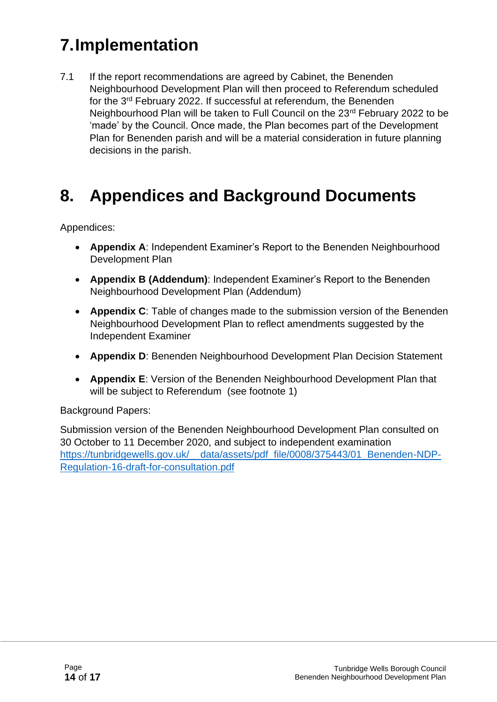## **7.Implementation**

7.1 If the report recommendations are agreed by Cabinet, the Benenden Neighbourhood Development Plan will then proceed to Referendum scheduled for the 3<sup>rd</sup> February 2022. If successful at referendum, the Benenden Neighbourhood Plan will be taken to Full Council on the 23<sup>rd</sup> February 2022 to be 'made' by the Council. Once made, the Plan becomes part of the Development Plan for Benenden parish and will be a material consideration in future planning decisions in the parish.

### **8. Appendices and Background Documents**

Appendices:

- **Appendix A**: Independent Examiner's Report to the Benenden Neighbourhood Development Plan
- **Appendix B (Addendum)**: Independent Examiner's Report to the Benenden Neighbourhood Development Plan (Addendum)
- **Appendix C**: Table of changes made to the submission version of the Benenden Neighbourhood Development Plan to reflect amendments suggested by the Independent Examiner
- **Appendix D**: Benenden Neighbourhood Development Plan Decision Statement
- **Appendix E**: Version of the Benenden Neighbourhood Development Plan that will be subject to Referendum (see footnote 1)

Background Papers:

Submission version of the Benenden Neighbourhood Development Plan consulted on 30 October to 11 December 2020, and subject to independent examination https://tunbridgewells.gov.uk/ data/assets/pdf\_file/0008/375443/01\_Benenden-NDP-[Regulation-16-draft-for-consultation.pdf](https://tunbridgewells.gov.uk/__data/assets/pdf_file/0008/375443/01_Benenden-NDP-Regulation-16-draft-for-consultation.pdf)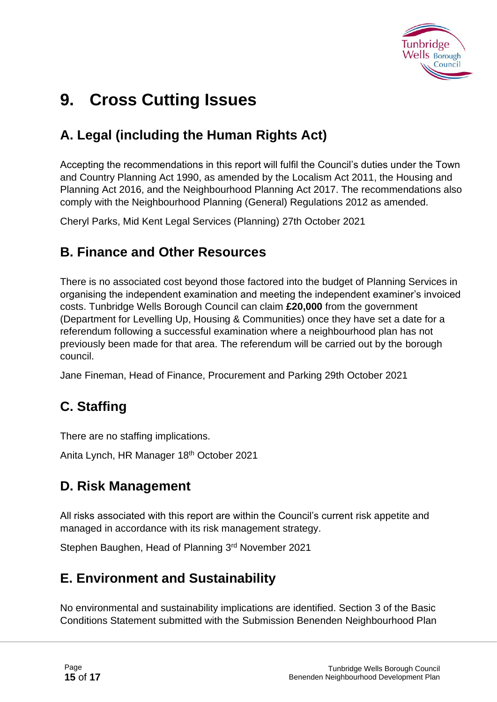

### **9. Cross Cutting Issues**

### **A. Legal (including the Human Rights Act)**

Accepting the recommendations in this report will fulfil the Council's duties under the Town and Country Planning Act 1990, as amended by the Localism Act 2011, the Housing and Planning Act 2016, and the Neighbourhood Planning Act 2017. The recommendations also comply with the Neighbourhood Planning (General) Regulations 2012 as amended.

Cheryl Parks, Mid Kent Legal Services (Planning) 27th October 2021

#### **B. Finance and Other Resources**

There is no associated cost beyond those factored into the budget of Planning Services in organising the independent examination and meeting the independent examiner's invoiced costs. Tunbridge Wells Borough Council can claim **£20,000** from the government (Department for Levelling Up, Housing & Communities) once they have set a date for a referendum following a successful examination where a neighbourhood plan has not previously been made for that area. The referendum will be carried out by the borough council.

Jane Fineman, Head of Finance, Procurement and Parking 29th October 2021

### **C. Staffing**

There are no staffing implications.

Anita Lynch, HR Manager 18<sup>th</sup> October 2021

### **D. Risk Management**

All risks associated with this report are within the Council's current risk appetite and managed in accordance with its risk management strategy.

Stephen Baughen, Head of Planning 3rd November 2021

### **E. Environment and Sustainability**

No environmental and sustainability implications are identified. Section 3 of the Basic Conditions Statement submitted with the Submission Benenden Neighbourhood Plan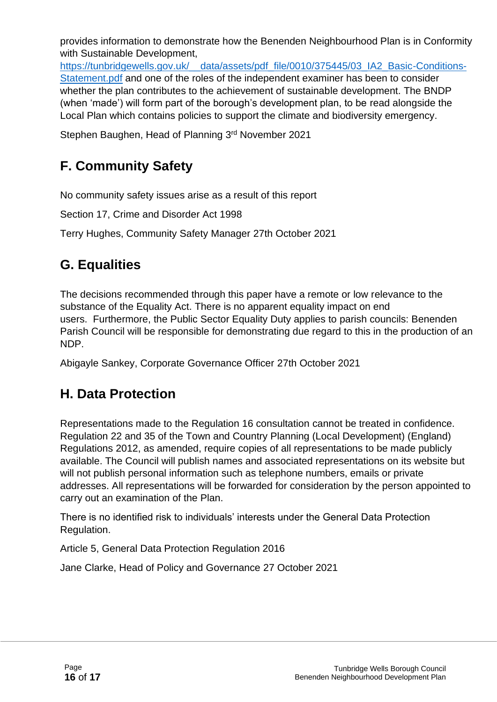provides information to demonstrate how the Benenden Neighbourhood Plan is in Conformity with Sustainable Development,

https://tunbridgewells.gov.uk/ data/assets/pdf file/0010/375445/03\_IA2\_Basic-Conditions-[Statement.pdf](https://tunbridgewells.gov.uk/__data/assets/pdf_file/0010/375445/03_IA2_Basic-Conditions-Statement.pdf) and one of the roles of the independent examiner has been to consider whether the plan contributes to the achievement of sustainable development. The BNDP (when 'made') will form part of the borough's development plan, to be read alongside the Local Plan which contains policies to support the climate and biodiversity emergency.

Stephen Baughen, Head of Planning 3rd November 2021

### **F. Community Safety**

No community safety issues arise as a result of this report

Section 17, Crime and Disorder Act 1998

Terry Hughes, Community Safety Manager 27th October 2021

### **G. Equalities**

The decisions recommended through this paper have a remote or low relevance to the substance of the Equality Act. There is no apparent equality impact on end users. Furthermore, the Public Sector Equality Duty applies to parish councils: Benenden Parish Council will be responsible for demonstrating due regard to this in the production of an NDP.

Abigayle Sankey, Corporate Governance Officer 27th October 2021

### **H. Data Protection**

Representations made to the Regulation 16 consultation cannot be treated in confidence. Regulation 22 and 35 of the Town and Country Planning (Local Development) (England) Regulations 2012, as amended, require copies of all representations to be made publicly available. The Council will publish names and associated representations on its website but will not publish personal information such as telephone numbers, emails or private addresses. All representations will be forwarded for consideration by the person appointed to carry out an examination of the Plan.

There is no identified risk to individuals' interests under the General Data Protection Regulation.

Article 5, General Data Protection Regulation 2016

Jane Clarke, Head of Policy and Governance 27 October 2021